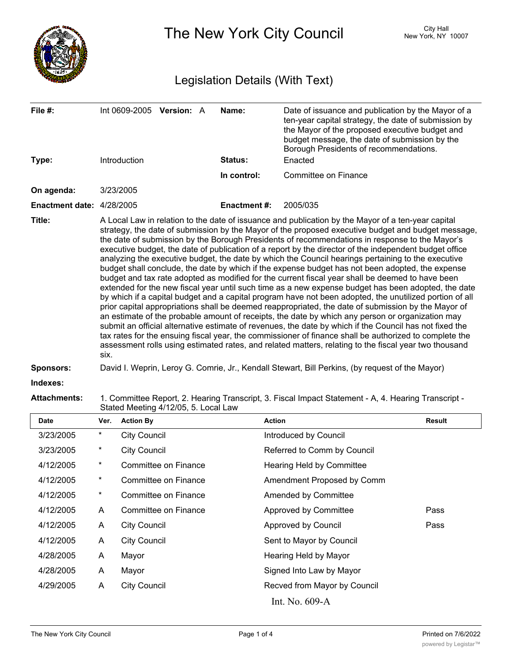

The New York City Council New York, NY 10007

# Legislation Details (With Text)

| File $#$ :                       | Int 0609-2005 Version: A                                                                                                                                                                                                                                                                                                                                                                                                                                                                                                                                                                                                                                                                                                                                                                                                                                                                                                                                                                                                                                                                                                                                                                                                                                                                                                                                                                                                                                                                              |  |  | Name:               | Date of issuance and publication by the Mayor of a<br>ten-year capital strategy, the date of submission by<br>the Mayor of the proposed executive budget and<br>budget message, the date of submission by the<br>Borough Presidents of recommendations. |  |  |  |
|----------------------------------|-------------------------------------------------------------------------------------------------------------------------------------------------------------------------------------------------------------------------------------------------------------------------------------------------------------------------------------------------------------------------------------------------------------------------------------------------------------------------------------------------------------------------------------------------------------------------------------------------------------------------------------------------------------------------------------------------------------------------------------------------------------------------------------------------------------------------------------------------------------------------------------------------------------------------------------------------------------------------------------------------------------------------------------------------------------------------------------------------------------------------------------------------------------------------------------------------------------------------------------------------------------------------------------------------------------------------------------------------------------------------------------------------------------------------------------------------------------------------------------------------------|--|--|---------------------|---------------------------------------------------------------------------------------------------------------------------------------------------------------------------------------------------------------------------------------------------------|--|--|--|
| Type:                            | Introduction                                                                                                                                                                                                                                                                                                                                                                                                                                                                                                                                                                                                                                                                                                                                                                                                                                                                                                                                                                                                                                                                                                                                                                                                                                                                                                                                                                                                                                                                                          |  |  | <b>Status:</b>      | Enacted                                                                                                                                                                                                                                                 |  |  |  |
|                                  |                                                                                                                                                                                                                                                                                                                                                                                                                                                                                                                                                                                                                                                                                                                                                                                                                                                                                                                                                                                                                                                                                                                                                                                                                                                                                                                                                                                                                                                                                                       |  |  | In control:         | Committee on Finance                                                                                                                                                                                                                                    |  |  |  |
| On agenda:                       | 3/23/2005                                                                                                                                                                                                                                                                                                                                                                                                                                                                                                                                                                                                                                                                                                                                                                                                                                                                                                                                                                                                                                                                                                                                                                                                                                                                                                                                                                                                                                                                                             |  |  |                     |                                                                                                                                                                                                                                                         |  |  |  |
| <b>Enactment date: 4/28/2005</b> |                                                                                                                                                                                                                                                                                                                                                                                                                                                                                                                                                                                                                                                                                                                                                                                                                                                                                                                                                                                                                                                                                                                                                                                                                                                                                                                                                                                                                                                                                                       |  |  | <b>Enactment #:</b> | 2005/035                                                                                                                                                                                                                                                |  |  |  |
| Title:                           | A Local Law in relation to the date of issuance and publication by the Mayor of a ten-year capital<br>strategy, the date of submission by the Mayor of the proposed executive budget and budget message,<br>the date of submission by the Borough Presidents of recommendations in response to the Mayor's<br>executive budget, the date of publication of a report by the director of the independent budget office<br>analyzing the executive budget, the date by which the Council hearings pertaining to the executive<br>budget shall conclude, the date by which if the expense budget has not been adopted, the expense<br>budget and tax rate adopted as modified for the current fiscal year shall be deemed to have been<br>extended for the new fiscal year until such time as a new expense budget has been adopted, the date<br>by which if a capital budget and a capital program have not been adopted, the unutilized portion of all<br>prior capital appropriations shall be deemed reappropriated, the date of submission by the Mayor of<br>an estimate of the probable amount of receipts, the date by which any person or organization may<br>submit an official alternative estimate of revenues, the date by which if the Council has not fixed the<br>tax rates for the ensuing fiscal year, the commissioner of finance shall be authorized to complete the<br>assessment rolls using estimated rates, and related matters, relating to the fiscal year two thousand<br>six. |  |  |                     |                                                                                                                                                                                                                                                         |  |  |  |
| Sponsors:                        |                                                                                                                                                                                                                                                                                                                                                                                                                                                                                                                                                                                                                                                                                                                                                                                                                                                                                                                                                                                                                                                                                                                                                                                                                                                                                                                                                                                                                                                                                                       |  |  |                     | David I. Weprin, Leroy G. Comrie, Jr., Kendall Stewart, Bill Perkins, (by request of the Mayor)                                                                                                                                                         |  |  |  |

**Indexes:**

**Attachments:** 1. Committee Report, 2. Hearing Transcript, 3. Fiscal Impact Statement - A, 4. Hearing Transcript - Stated Meeting 4/12/05, 5. Local Law

| Date      | Ver.       | <b>Action By</b>     | <b>Action</b>                | <b>Result</b> |
|-----------|------------|----------------------|------------------------------|---------------|
| 3/23/2005 | $\star$    | <b>City Council</b>  | Introduced by Council        |               |
| 3/23/2005 | $^\star$   | <b>City Council</b>  | Referred to Comm by Council  |               |
| 4/12/2005 | $^{\star}$ | Committee on Finance | Hearing Held by Committee    |               |
| 4/12/2005 | $\star$    | Committee on Finance | Amendment Proposed by Comm   |               |
| 4/12/2005 | *          | Committee on Finance | <b>Amended by Committee</b>  |               |
| 4/12/2005 | A          | Committee on Finance | Approved by Committee        | Pass          |
| 4/12/2005 | A          | <b>City Council</b>  | Approved by Council          | Pass          |
| 4/12/2005 | A          | <b>City Council</b>  | Sent to Mayor by Council     |               |
| 4/28/2005 | A          | Mayor                | Hearing Held by Mayor        |               |
| 4/28/2005 | A          | Mayor                | Signed Into Law by Mayor     |               |
| 4/29/2005 | A          | <b>City Council</b>  | Recved from Mayor by Council |               |
|           |            |                      | Int. No. 609-A               |               |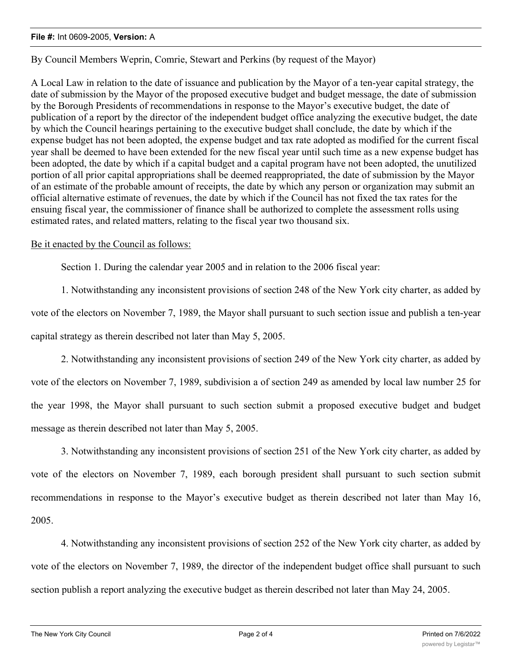## **File #:** Int 0609-2005, **Version:** A

By Council Members Weprin, Comrie, Stewart and Perkins (by request of the Mayor)

A Local Law in relation to the date of issuance and publication by the Mayor of a ten-year capital strategy, the date of submission by the Mayor of the proposed executive budget and budget message, the date of submission by the Borough Presidents of recommendations in response to the Mayor's executive budget, the date of publication of a report by the director of the independent budget office analyzing the executive budget, the date by which the Council hearings pertaining to the executive budget shall conclude, the date by which if the expense budget has not been adopted, the expense budget and tax rate adopted as modified for the current fiscal year shall be deemed to have been extended for the new fiscal year until such time as a new expense budget has been adopted, the date by which if a capital budget and a capital program have not been adopted, the unutilized portion of all prior capital appropriations shall be deemed reappropriated, the date of submission by the Mayor of an estimate of the probable amount of receipts, the date by which any person or organization may submit an official alternative estimate of revenues, the date by which if the Council has not fixed the tax rates for the ensuing fiscal year, the commissioner of finance shall be authorized to complete the assessment rolls using estimated rates, and related matters, relating to the fiscal year two thousand six.

## Be it enacted by the Council as follows:

Section 1. During the calendar year 2005 and in relation to the 2006 fiscal year:

1. Notwithstanding any inconsistent provisions of section 248 of the New York city charter, as added by vote of the electors on November 7, 1989, the Mayor shall pursuant to such section issue and publish a ten-year capital strategy as therein described not later than May 5, 2005.

2. Notwithstanding any inconsistent provisions of section 249 of the New York city charter, as added by vote of the electors on November 7, 1989, subdivision a of section 249 as amended by local law number 25 for the year 1998, the Mayor shall pursuant to such section submit a proposed executive budget and budget message as therein described not later than May 5, 2005.

3. Notwithstanding any inconsistent provisions of section 251 of the New York city charter, as added by vote of the electors on November 7, 1989, each borough president shall pursuant to such section submit recommendations in response to the Mayor's executive budget as therein described not later than May 16, 2005.

4. Notwithstanding any inconsistent provisions of section 252 of the New York city charter, as added by vote of the electors on November 7, 1989, the director of the independent budget office shall pursuant to such section publish a report analyzing the executive budget as therein described not later than May 24, 2005.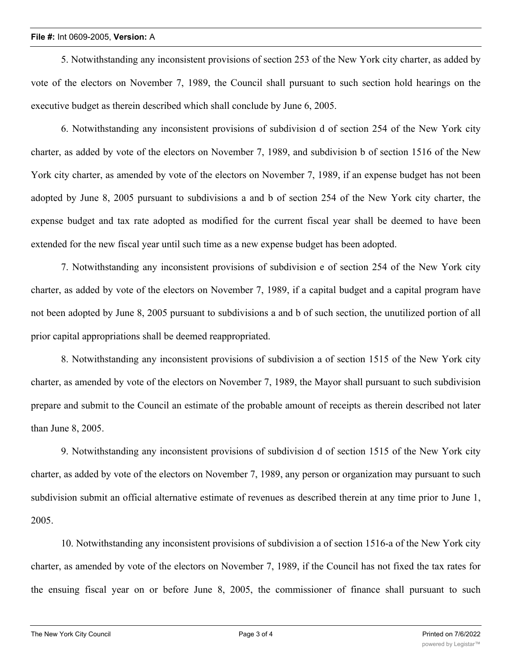## **File #:** Int 0609-2005, **Version:** A

5. Notwithstanding any inconsistent provisions of section 253 of the New York city charter, as added by vote of the electors on November 7, 1989, the Council shall pursuant to such section hold hearings on the executive budget as therein described which shall conclude by June 6, 2005.

6. Notwithstanding any inconsistent provisions of subdivision d of section 254 of the New York city charter, as added by vote of the electors on November 7, 1989, and subdivision b of section 1516 of the New York city charter, as amended by vote of the electors on November 7, 1989, if an expense budget has not been adopted by June 8, 2005 pursuant to subdivisions a and b of section 254 of the New York city charter, the expense budget and tax rate adopted as modified for the current fiscal year shall be deemed to have been extended for the new fiscal year until such time as a new expense budget has been adopted.

7. Notwithstanding any inconsistent provisions of subdivision e of section 254 of the New York city charter, as added by vote of the electors on November 7, 1989, if a capital budget and a capital program have not been adopted by June 8, 2005 pursuant to subdivisions a and b of such section, the unutilized portion of all prior capital appropriations shall be deemed reappropriated.

8. Notwithstanding any inconsistent provisions of subdivision a of section 1515 of the New York city charter, as amended by vote of the electors on November 7, 1989, the Mayor shall pursuant to such subdivision prepare and submit to the Council an estimate of the probable amount of receipts as therein described not later than June 8, 2005.

9. Notwithstanding any inconsistent provisions of subdivision d of section 1515 of the New York city charter, as added by vote of the electors on November 7, 1989, any person or organization may pursuant to such subdivision submit an official alternative estimate of revenues as described therein at any time prior to June 1, 2005.

10. Notwithstanding any inconsistent provisions of subdivision a of section 1516-a of the New York city charter, as amended by vote of the electors on November 7, 1989, if the Council has not fixed the tax rates for the ensuing fiscal year on or before June 8, 2005, the commissioner of finance shall pursuant to such